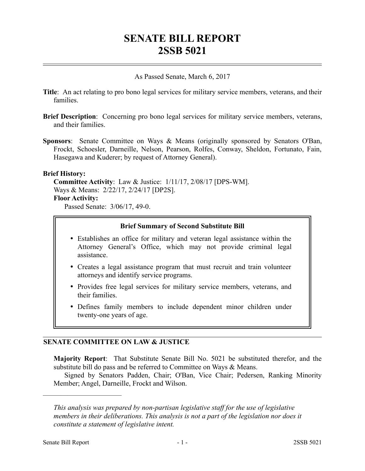# **SENATE BILL REPORT 2SSB 5021**

As Passed Senate, March 6, 2017

- **Title**: An act relating to pro bono legal services for military service members, veterans, and their families.
- **Brief Description**: Concerning pro bono legal services for military service members, veterans, and their families.
- **Sponsors**: Senate Committee on Ways & Means (originally sponsored by Senators O'Ban, Frockt, Schoesler, Darneille, Nelson, Pearson, Rolfes, Conway, Sheldon, Fortunato, Fain, Hasegawa and Kuderer; by request of Attorney General).

# **Brief History:**

**Committee Activity**: Law & Justice: 1/11/17, 2/08/17 [DPS-WM]. Ways & Means: 2/22/17, 2/24/17 [DP2S]. **Floor Activity:**

Passed Senate: 3/06/17, 49-0.

### **Brief Summary of Second Substitute Bill**

- Establishes an office for military and veteran legal assistance within the Attorney General's Office, which may not provide criminal legal assistance.
- Creates a legal assistance program that must recruit and train volunteer attorneys and identify service programs.
- Provides free legal services for military service members, veterans, and their families.
- Defines family members to include dependent minor children under twenty-one years of age.

# **SENATE COMMITTEE ON LAW & JUSTICE**

**Majority Report**: That Substitute Senate Bill No. 5021 be substituted therefor, and the substitute bill do pass and be referred to Committee on Ways & Means.

Signed by Senators Padden, Chair; O'Ban, Vice Chair; Pedersen, Ranking Minority Member; Angel, Darneille, Frockt and Wilson.

––––––––––––––––––––––

*This analysis was prepared by non-partisan legislative staff for the use of legislative members in their deliberations. This analysis is not a part of the legislation nor does it constitute a statement of legislative intent.*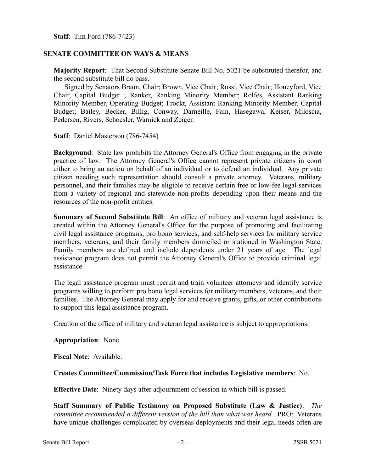**Staff**: Tim Ford (786-7423)

# **SENATE COMMITTEE ON WAYS & MEANS**

**Majority Report**: That Second Substitute Senate Bill No. 5021 be substituted therefor, and the second substitute bill do pass.

Signed by Senators Braun, Chair; Brown, Vice Chair; Rossi, Vice Chair; Honeyford, Vice Chair, Capital Budget ; Ranker, Ranking Minority Member; Rolfes, Assistant Ranking Minority Member, Operating Budget; Frockt, Assistant Ranking Minority Member, Capital Budget; Bailey, Becker, Billig, Conway, Darneille, Fain, Hasegawa, Keiser, Miloscia, Pedersen, Rivers, Schoesler, Warnick and Zeiger.

**Staff**: Daniel Masterson (786-7454)

**Background**: State law prohibits the Attorney General's Office from engaging in the private practice of law. The Attorney General's Office cannot represent private citizens in court either to bring an action on behalf of an individual or to defend an individual. Any private citizen needing such representation should consult a private attorney. Veterans, military personnel, and their families may be eligible to receive certain free or low-fee legal services from a variety of regional and statewide non-profits depending upon their means and the resources of the non-profit entities.

**Summary of Second Substitute Bill**: An office of military and veteran legal assistance is created within the Attorney General's Office for the purpose of promoting and facilitating civil legal assistance programs, pro bono services, and self-help services for military service members, veterans, and their family members domiciled or stationed in Washington State. Family members are defined and include dependents under 21 years of age. The legal assistance program does not permit the Attorney General's Office to provide criminal legal assistance.

The legal assistance program must recruit and train volunteer attorneys and identify service programs willing to perform pro bono legal services for military members, veterans, and their families. The Attorney General may apply for and receive grants, gifts, or other contributions to support this legal assistance program.

Creation of the office of military and veteran legal assistance is subject to appropriations.

#### **Appropriation**: None.

**Fiscal Note**: Available.

### **Creates Committee/Commission/Task Force that includes Legislative members**: No.

**Effective Date**: Ninety days after adjournment of session in which bill is passed.

**Staff Summary of Public Testimony on Proposed Substitute (Law & Justice)**: *The committee recommended a different version of the bill than what was heard.* PRO: Veterans have unique challenges complicated by overseas deployments and their legal needs often are